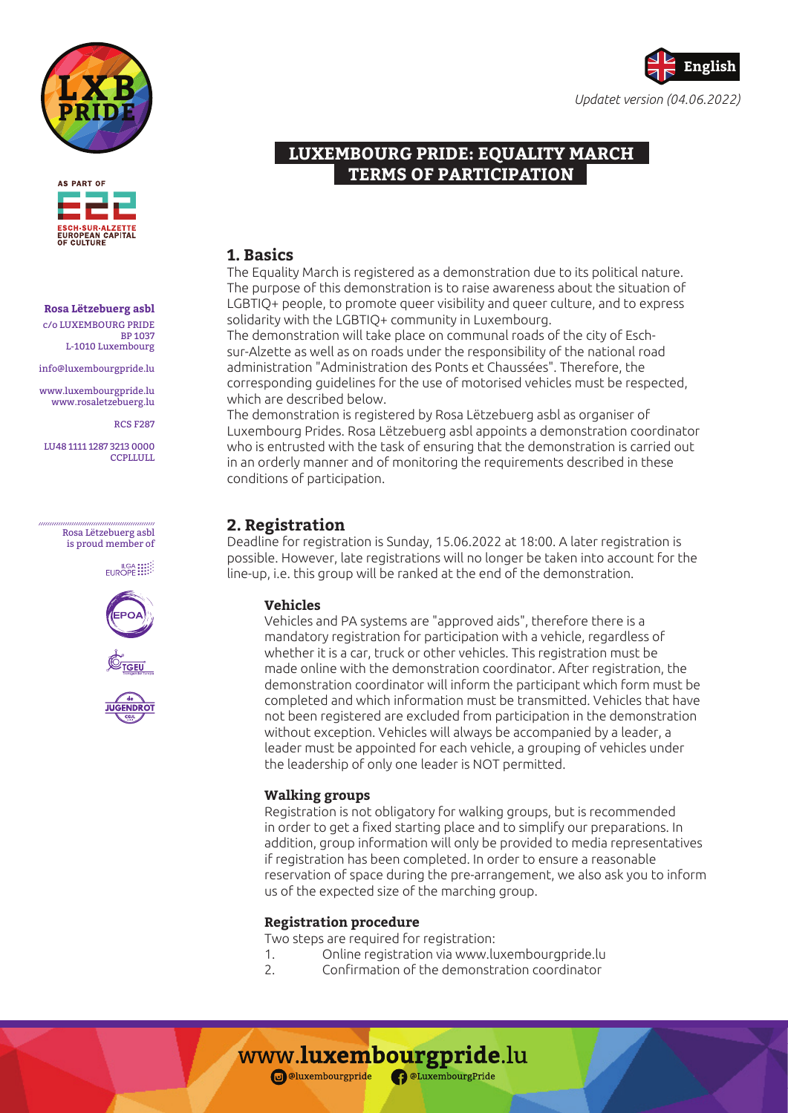



#### **Rosa Lëtzebuerg asbl** c/o LUXEMBOURG PRIDE

BP 1037 L-1010 Luxembourg

info@luxembourgpride.lu

www.luxembourgpride.lu www.rosaletzebuerg.lu

RCS F287

LU48 1111 1287 3213 0000 **CCPLLULL** 

> Rosa Lëtzebuerg asbl is proud member of

> > EUROPE !!!









# **LUXEMBOURG PRIDE: EQUALITY MARCH TERMS OF PARTICIPATION**

# **1. Basics**

The Equality March is registered as a demonstration due to its political nature. The purpose of this demonstration is to raise awareness about the situation of LGBTIQ+ people, to promote queer visibility and queer culture, and to express solidarity with the LGBTIQ+ community in Luxembourg.

The demonstration will take place on communal roads of the city of Eschsur-Alzette as well as on roads under the responsibility of the national road administration "Administration des Ponts et Chaussées". Therefore, the corresponding guidelines for the use of motorised vehicles must be respected, which are described below.

The demonstration is registered by Rosa Lëtzebuerg asbl as organiser of Luxembourg Prides. Rosa Lëtzebuerg asbl appoints a demonstration coordinator who is entrusted with the task of ensuring that the demonstration is carried out in an orderly manner and of monitoring the requirements described in these conditions of participation.

# **2. Registration**

Deadline for registration is Sunday, 15.06.2022 at 18:00. A later registration is possible. However, late registrations will no longer be taken into account for the line-up, i.e. this group will be ranked at the end of the demonstration.

### **Vehicles**

Vehicles and PA systems are "approved aids", therefore there is a mandatory registration for participation with a vehicle, regardless of whether it is a car, truck or other vehicles. This registration must be made online with the demonstration coordinator. After registration, the demonstration coordinator will inform the participant which form must be completed and which information must be transmitted. Vehicles that have not been registered are excluded from participation in the demonstration without exception. Vehicles will always be accompanied by a leader, a leader must be appointed for each vehicle, a grouping of vehicles under the leadership of only one leader is NOT permitted.

### **Walking groups**

Registration is not obligatory for walking groups, but is recommended in order to get a fixed starting place and to simplify our preparations. In addition, group information will only be provided to media representatives if registration has been completed. In order to ensure a reasonable reservation of space during the pre-arrangement, we also ask you to inform us of the expected size of the marching group.

## **Registration procedure**

Two steps are required for registration:

- 1. Online registration via www.luxembourgpride.lu
- 2. Confirmation of the demonstration coordinator

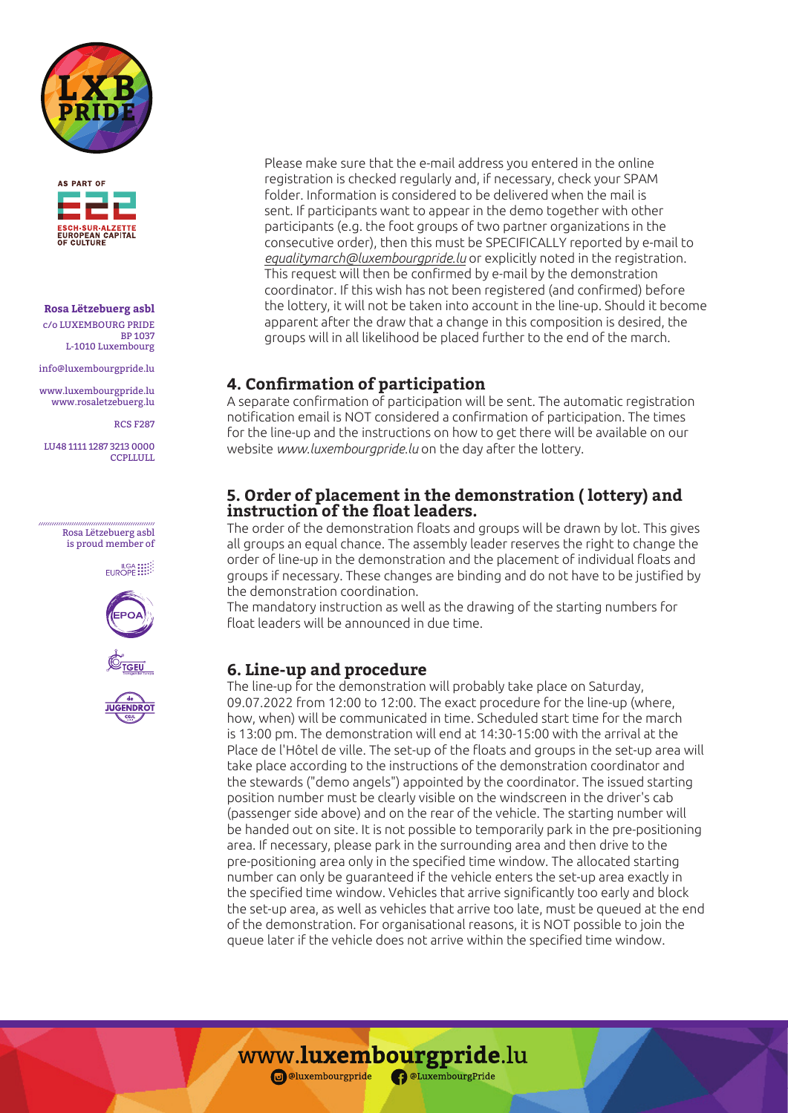



#### **Rosa Lëtzebuerg asbl** c/o LUXEMBOURG PRIDE

BP 1037 L-1010 Luxembourg

info@luxembourgpride.lu

www.luxembourgpride.lu www.rosaletzebuerg.lu

RCS F287

LU48 1111 1287 3213 0000 **CCPLLULL** 

> Rosa Lëtzebuerg asbl is proud member of

> > EUROPE !!!







Please make sure that the e-mail address you entered in the online registration is checked regularly and, if necessary, check your SPAM folder. Information is considered to be delivered when the mail is sent. If participants want to appear in the demo together with other participants (e.g. the foot groups of two partner organizations in the consecutive order), then this must be SPECIFICALLY reported by e-mail to *equalitymarch@luxembourgpride.lu* or explicitly noted in the registration. This request will then be confirmed by e-mail by the demonstration coordinator. If this wish has not been registered (and confirmed) before the lottery, it will not be taken into account in the line-up. Should it become apparent after the draw that a change in this composition is desired, the groups will in all likelihood be placed further to the end of the march.

# **4. Confirmation of participation**

A separate confirmation of participation will be sent. The automatic registration notification email is NOT considered a confirmation of participation. The times for the line-up and the instructions on how to get there will be available on our website *www.luxembourgpride.lu* on the day after the lottery.

# **5. Order of placement in the demonstration ( lottery) and instruction of the float leaders.**

The order of the demonstration floats and groups will be drawn by lot. This gives all groups an equal chance. The assembly leader reserves the right to change the order of line-up in the demonstration and the placement of individual floats and groups if necessary. These changes are binding and do not have to be justified by the demonstration coordination.

The mandatory instruction as well as the drawing of the starting numbers for float leaders will be announced in due time.

# **6. Line-up and procedure**

The line-up for the demonstration will probably take place on Saturday, 09.07.2022 from 12:00 to 12:00. The exact procedure for the line-up (where, how, when) will be communicated in time. Scheduled start time for the march is 13:00 pm. The demonstration will end at 14:30-15:00 with the arrival at the Place de l'Hôtel de ville. The set-up of the floats and groups in the set-up area will take place according to the instructions of the demonstration coordinator and the stewards ("demo angels") appointed by the coordinator. The issued starting position number must be clearly visible on the windscreen in the driver's cab (passenger side above) and on the rear of the vehicle. The starting number will be handed out on site. It is not possible to temporarily park in the pre-positioning area. If necessary, please park in the surrounding area and then drive to the pre-positioning area only in the specified time window. The allocated starting number can only be guaranteed if the vehicle enters the set-up area exactly in the specified time window. Vehicles that arrive significantly too early and block the set-up area, as well as vehicles that arrive too late, must be queued at the end of the demonstration. For organisational reasons, it is NOT possible to join the queue later if the vehicle does not arrive within the specified time window.

www.luxembourgpride.lu

**a**luxembourgpride <sup>a</sup> DeLuxembourgPride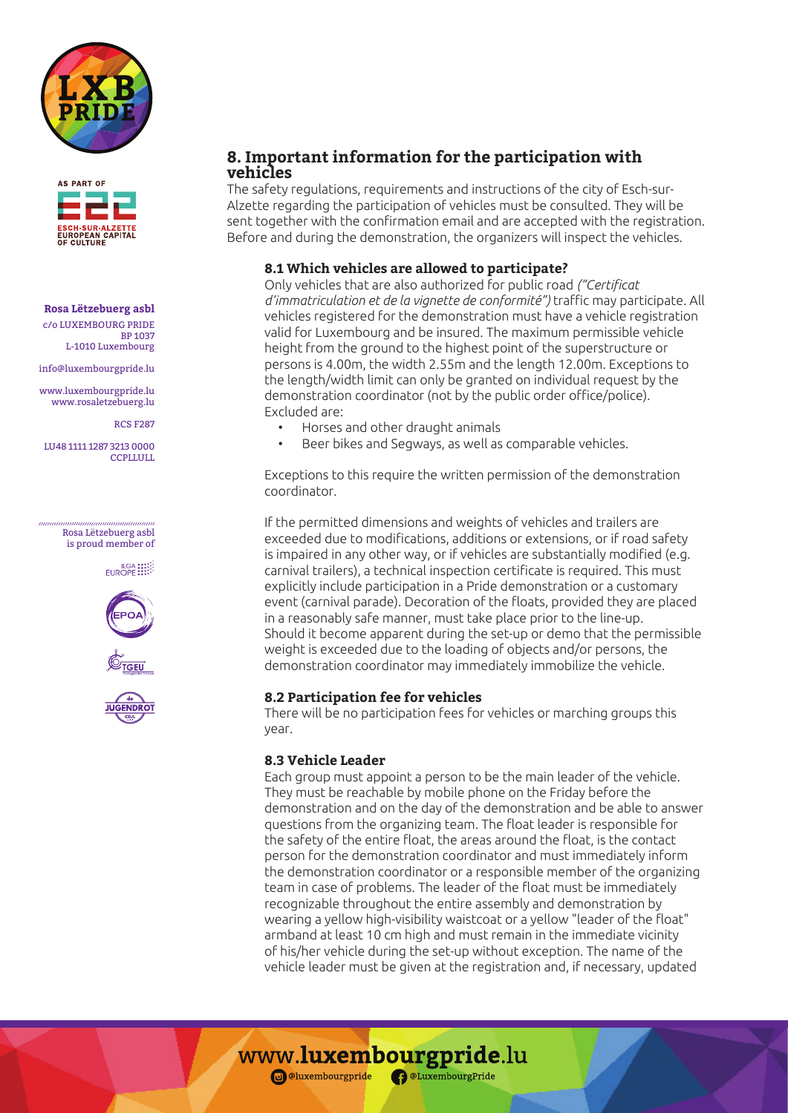



### **Rosa Lëtzebuerg asbl**

c/o LUXEMBOURG PRIDE BP 1037 L-1010 Luxembourg

info@luxembourgpride.lu

www.luxembourgpride.lu www.rosaletzebuerg.lu

RCS F287

LU48 1111 1287 3213 0000 **CCPLLULL** 

#### Rosa Lëtzebuerg asbl is proud member of

EUROPE !!!







# **8. Important information for the participation with vehicles**

The safety regulations, requirements and instructions of the city of Esch-sur-Alzette regarding the participation of vehicles must be consulted. They will be sent together with the confirmation email and are accepted with the registration. Before and during the demonstration, the organizers will inspect the vehicles.

### **8.1 Which vehicles are allowed to participate?**

Only vehicles that are also authorized for public road *("Certificat d'immatriculation et de la vignette de conformité")* traffic may participate. All vehicles registered for the demonstration must have a vehicle registration valid for Luxembourg and be insured. The maximum permissible vehicle height from the ground to the highest point of the superstructure or persons is 4.00m, the width 2.55m and the length 12.00m. Exceptions to the length/width limit can only be granted on individual request by the demonstration coordinator (not by the public order office/police). Excluded are:

- Horses and other draught animals
- Beer bikes and Segways, as well as comparable vehicles.

Exceptions to this require the written permission of the demonstration coordinator.

If the permitted dimensions and weights of vehicles and trailers are exceeded due to modifications, additions or extensions, or if road safety is impaired in any other way, or if vehicles are substantially modified (e.g. carnival trailers), a technical inspection certificate is required. This must explicitly include participation in a Pride demonstration or a customary event (carnival parade). Decoration of the floats, provided they are placed in a reasonably safe manner, must take place prior to the line-up. Should it become apparent during the set-up or demo that the permissible weight is exceeded due to the loading of objects and/or persons, the demonstration coordinator may immediately immobilize the vehicle.

### **8.2 Participation fee for vehicles**

There will be no participation fees for vehicles or marching groups this year.

### **8.3 Vehicle Leader**

Each group must appoint a person to be the main leader of the vehicle. They must be reachable by mobile phone on the Friday before the demonstration and on the day of the demonstration and be able to answer questions from the organizing team. The float leader is responsible for the safety of the entire float, the areas around the float, is the contact person for the demonstration coordinator and must immediately inform the demonstration coordinator or a responsible member of the organizing team in case of problems. The leader of the float must be immediately recognizable throughout the entire assembly and demonstration by wearing a yellow high-visibility waistcoat or a yellow "leader of the float" armband at least 10 cm high and must remain in the immediate vicinity of his/her vehicle during the set-up without exception. The name of the vehicle leader must be given at the registration and, if necessary, updated

www.luxembourgpride.lu **o**luxembourgpride <sup>a</sup> DeLuxembourgPride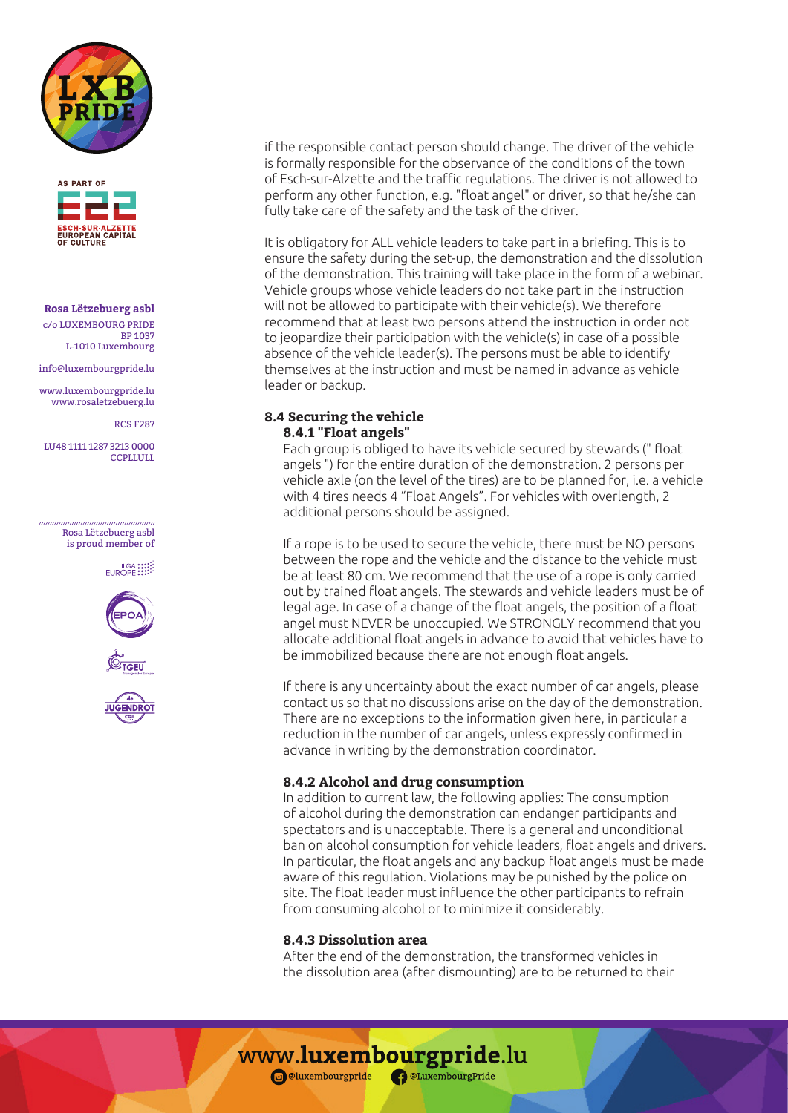



#### **Rosa Lëtzebuerg asbl** c/o LUXEMBOURG PRIDE

BP 1037 L-1010 Luxembourg

info@luxembourgpride.lu

www.luxembourgpride.lu www.rosaletzebuerg.lu

RCS F287

LU48 1111 1287 3213 0000 **CCPLLULL** 

> Rosa Lëtzebuerg asbl is proud member of

> > EUROPE !!!







if the responsible contact person should change. The driver of the vehicle is formally responsible for the observance of the conditions of the town of Esch-sur-Alzette and the traffic regulations. The driver is not allowed to perform any other function, e.g. "float angel" or driver, so that he/she can fully take care of the safety and the task of the driver.

It is obligatory for ALL vehicle leaders to take part in a briefing. This is to ensure the safety during the set-up, the demonstration and the dissolution of the demonstration. This training will take place in the form of a webinar. Vehicle groups whose vehicle leaders do not take part in the instruction will not be allowed to participate with their vehicle(s). We therefore recommend that at least two persons attend the instruction in order not to jeopardize their participation with the vehicle(s) in case of a possible absence of the vehicle leader(s). The persons must be able to identify themselves at the instruction and must be named in advance as vehicle leader or backup.

### **8.4 Securing the vehicle 8.4.1 "Float angels"**

Each group is obliged to have its vehicle secured by stewards (" float angels ") for the entire duration of the demonstration. 2 persons per vehicle axle (on the level of the tires) are to be planned for, i.e. a vehicle with 4 tires needs 4 "Float Angels". For vehicles with overlength, 2 additional persons should be assigned.

If a rope is to be used to secure the vehicle, there must be NO persons between the rope and the vehicle and the distance to the vehicle must be at least 80 cm. We recommend that the use of a rope is only carried out by trained float angels. The stewards and vehicle leaders must be of legal age. In case of a change of the float angels, the position of a float angel must NEVER be unoccupied. We STRONGLY recommend that you allocate additional float angels in advance to avoid that vehicles have to be immobilized because there are not enough float angels.

If there is any uncertainty about the exact number of car angels, please contact us so that no discussions arise on the day of the demonstration. There are no exceptions to the information given here, in particular a reduction in the number of car angels, unless expressly confirmed in advance in writing by the demonstration coordinator.

### **8.4.2 Alcohol and drug consumption**

In addition to current law, the following applies: The consumption of alcohol during the demonstration can endanger participants and spectators and is unacceptable. There is a general and unconditional ban on alcohol consumption for vehicle leaders, float angels and drivers. In particular, the float angels and any backup float angels must be made aware of this regulation. Violations may be punished by the police on site. The float leader must influence the other participants to refrain from consuming alcohol or to minimize it considerably.

### **8.4.3 Dissolution area**

After the end of the demonstration, the transformed vehicles in the dissolution area (after dismounting) are to be returned to their

www.luxembourgpride.lu i @luxembourgpride **CaluxembourgPride**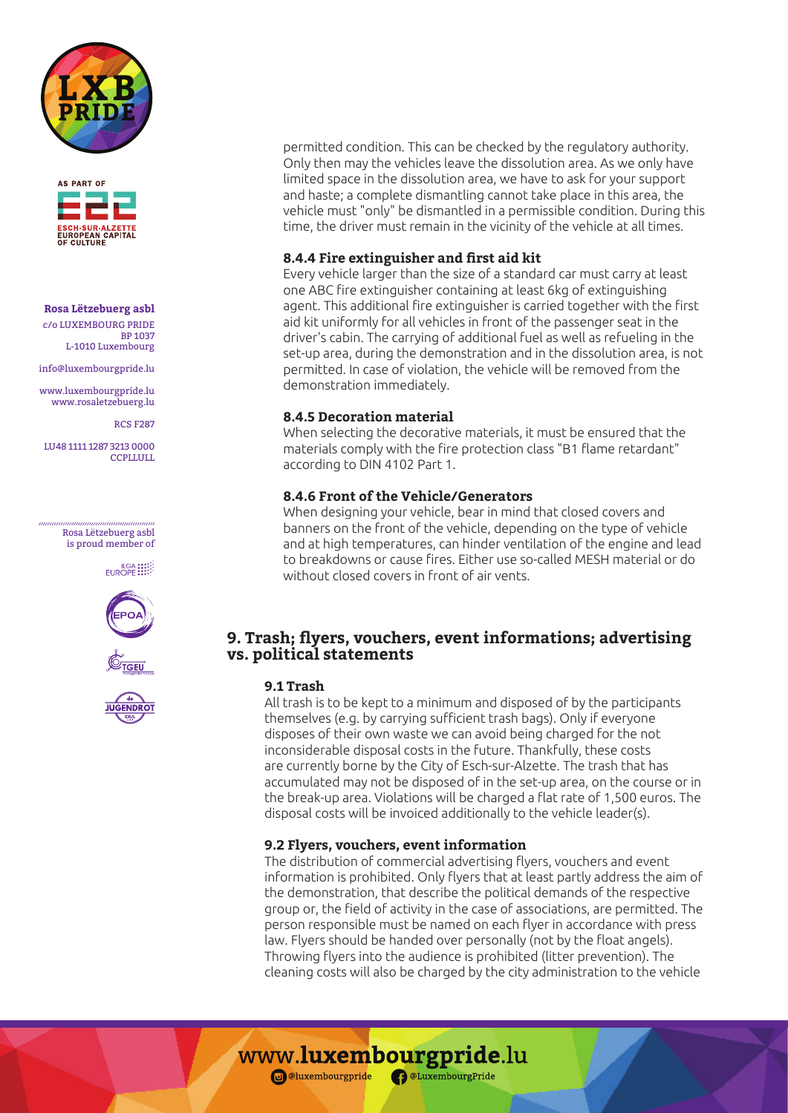



# **Rosa Lëtzebuerg asbl**

c/o LUXEMBOURG PRIDE BP 1037 L-1010 Luxembourg

info@luxembourgpride.lu

www.luxembourgpride.lu www.rosaletzebuerg.lu

RCS F287

LU48 1111 1287 3213 0000 **CCPLLULL** 

> Rosa Lëtzebuerg asbl is proud member of

> > EUROPE !!!







permitted condition. This can be checked by the regulatory authority. Only then may the vehicles leave the dissolution area. As we only have limited space in the dissolution area, we have to ask for your support and haste; a complete dismantling cannot take place in this area, the vehicle must "only" be dismantled in a permissible condition. During this time, the driver must remain in the vicinity of the vehicle at all times.

### **8.4.4 Fire extinguisher and first aid kit**

Every vehicle larger than the size of a standard car must carry at least one ABC fire extinguisher containing at least 6kg of extinguishing agent. This additional fire extinguisher is carried together with the first aid kit uniformly for all vehicles in front of the passenger seat in the driver's cabin. The carrying of additional fuel as well as refueling in the set-up area, during the demonstration and in the dissolution area, is not permitted. In case of violation, the vehicle will be removed from the demonstration immediately.

### **8.4.5 Decoration material**

When selecting the decorative materials, it must be ensured that the materials comply with the fire protection class "B1 flame retardant" according to DIN 4102 Part 1.

### **8.4.6 Front of the Vehicle/Generators**

When designing your vehicle, bear in mind that closed covers and banners on the front of the vehicle, depending on the type of vehicle and at high temperatures, can hinder ventilation of the engine and lead to breakdowns or cause fires. Either use so-called MESH material or do without closed covers in front of air vents.

# **9. Trash; flyers, vouchers, event informations; advertising vs. political statements**

### **9.1 Trash**

All trash is to be kept to a minimum and disposed of by the participants themselves (e.g. by carrying sufficient trash bags). Only if everyone disposes of their own waste we can avoid being charged for the not inconsiderable disposal costs in the future. Thankfully, these costs are currently borne by the City of Esch-sur-Alzette. The trash that has accumulated may not be disposed of in the set-up area, on the course or in the break-up area. Violations will be charged a flat rate of 1,500 euros. The disposal costs will be invoiced additionally to the vehicle leader(s).

## **9.2 Flyers, vouchers, event information**

The distribution of commercial advertising flyers, vouchers and event information is prohibited. Only flyers that at least partly address the aim of the demonstration, that describe the political demands of the respective group or, the field of activity in the case of associations, are permitted. The person responsible must be named on each flyer in accordance with press law. Flyers should be handed over personally (not by the float angels). Throwing flyers into the audience is prohibited (litter prevention). The cleaning costs will also be charged by the city administration to the vehicle

www.luxembourgpride.lu

i @luxembourgpride **CaluxembourgPride**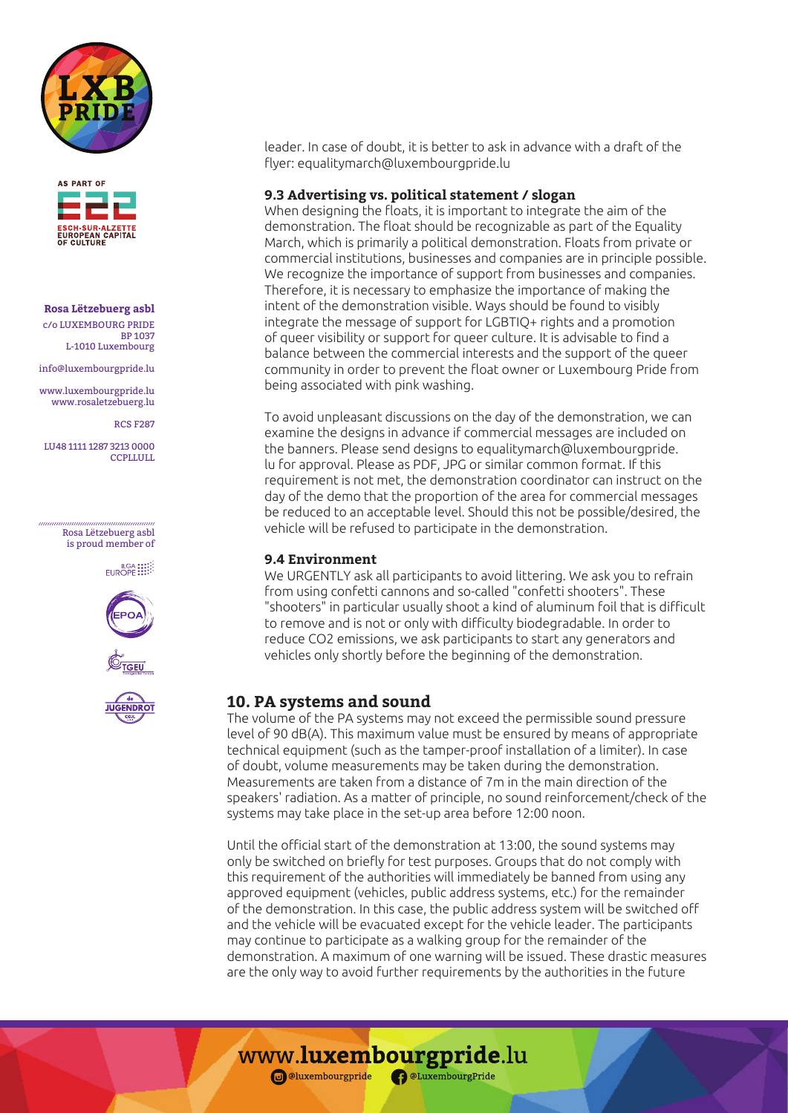



**Rosa Lëtzebuerg asbl** c/o LUXEMBOURG PRIDE BP 1037 L-1010 Luxembourg

info@luxembourgpride.lu

www.luxembourgpride.lu www.rosaletzebuerg.lu

RCS F287

LU48 1111 1287 3213 0000 **CCPLLULL** 

> Rosa Lëtzebuerg asbl is proud member of

> > EUROPE !!!







leader. In case of doubt, it is better to ask in advance with a draft of the flyer: equalitymarch@luxembourgpride.lu

#### **9.3 Advertising vs. political statement / slogan**

When designing the floats, it is important to integrate the aim of the demonstration. The float should be recognizable as part of the Equality March, which is primarily a political demonstration. Floats from private or commercial institutions, businesses and companies are in principle possible. We recognize the importance of support from businesses and companies. Therefore, it is necessary to emphasize the importance of making the intent of the demonstration visible. Ways should be found to visibly integrate the message of support for LGBTIQ+ rights and a promotion of queer visibility or support for queer culture. It is advisable to find a balance between the commercial interests and the support of the queer community in order to prevent the float owner or Luxembourg Pride from being associated with pink washing.

To avoid unpleasant discussions on the day of the demonstration, we can examine the designs in advance if commercial messages are included on the banners. Please send designs to equalitymarch@luxembourgpride. lu for approval. Please as PDF, JPG or similar common format. If this requirement is not met, the demonstration coordinator can instruct on the day of the demo that the proportion of the area for commercial messages be reduced to an acceptable level. Should this not be possible/desired, the vehicle will be refused to participate in the demonstration.

#### **9.4 Environment**

We URGENTLY ask all participants to avoid littering. We ask you to refrain from using confetti cannons and so-called "confetti shooters". These "shooters" in particular usually shoot a kind of aluminum foil that is difficult to remove and is not or only with difficulty biodegradable. In order to reduce CO2 emissions, we ask participants to start any generators and vehicles only shortly before the beginning of the demonstration.

### **10. PA systems and sound**

The volume of the PA systems may not exceed the permissible sound pressure level of 90 dB(A). This maximum value must be ensured by means of appropriate technical equipment (such as the tamper-proof installation of a limiter). In case of doubt, volume measurements may be taken during the demonstration. Measurements are taken from a distance of 7m in the main direction of the speakers' radiation. As a matter of principle, no sound reinforcement/check of the systems may take place in the set-up area before 12:00 noon.

Until the official start of the demonstration at 13:00, the sound systems may only be switched on briefly for test purposes. Groups that do not comply with this requirement of the authorities will immediately be banned from using any approved equipment (vehicles, public address systems, etc.) for the remainder of the demonstration. In this case, the public address system will be switched off and the vehicle will be evacuated except for the vehicle leader. The participants may continue to participate as a walking group for the remainder of the demonstration. A maximum of one warning will be issued. These drastic measures are the only way to avoid further requirements by the authorities in the future

www.luxembourgpride.lu

i @luxembourgpride **CaluxembourgPride**